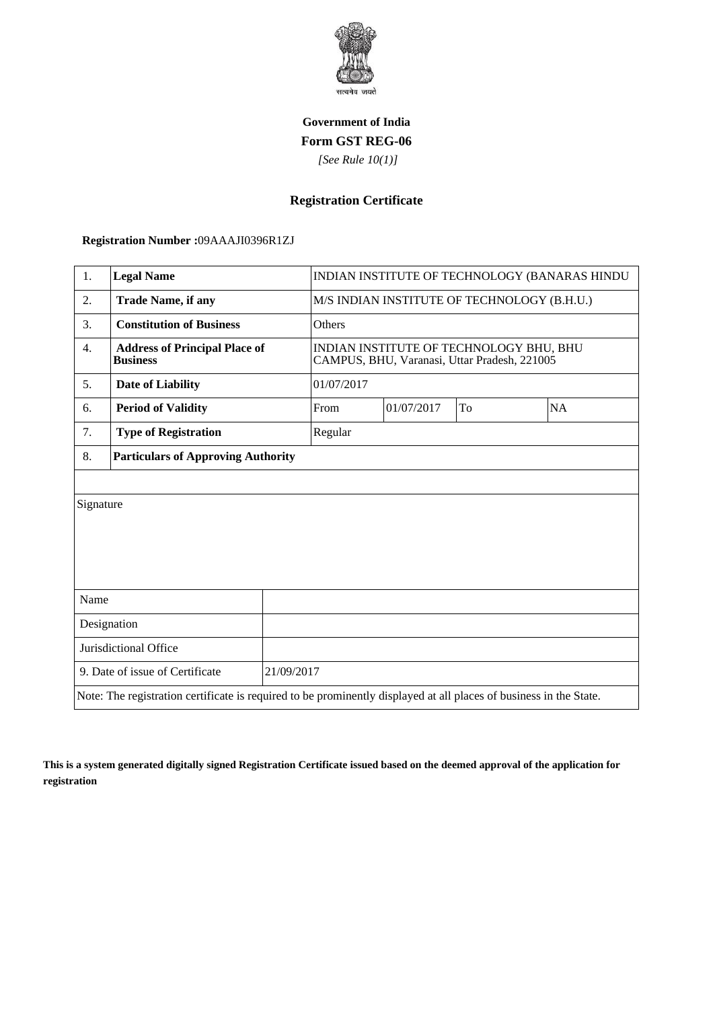

## **Government of India Form GST REG-06**

 *[See Rule 10(1)]*

## **Registration Certificate**

 **Registration Number :**09AAAJI0396R1ZJ

| 1.                                                                                                                 | <b>Legal Name</b>                                       |            | INDIAN INSTITUTE OF TECHNOLOGY (BANARAS HINDU                                           |    |    |  |
|--------------------------------------------------------------------------------------------------------------------|---------------------------------------------------------|------------|-----------------------------------------------------------------------------------------|----|----|--|
| 2.                                                                                                                 | <b>Trade Name, if any</b>                               |            | M/S INDIAN INSTITUTE OF TECHNOLOGY (B.H.U.)                                             |    |    |  |
| 3.                                                                                                                 | <b>Constitution of Business</b>                         | Others     |                                                                                         |    |    |  |
| 4.                                                                                                                 | <b>Address of Principal Place of</b><br><b>Business</b> |            | INDIAN INSTITUTE OF TECHNOLOGY BHU, BHU<br>CAMPUS, BHU, Varanasi, Uttar Pradesh, 221005 |    |    |  |
| 5.                                                                                                                 | <b>Date of Liability</b>                                |            | 01/07/2017                                                                              |    |    |  |
| 6.                                                                                                                 | <b>Period of Validity</b>                               | From       | 01/07/2017                                                                              | To | NA |  |
| 7.                                                                                                                 | <b>Type of Registration</b>                             | Regular    |                                                                                         |    |    |  |
| 8.                                                                                                                 | <b>Particulars of Approving Authority</b>               |            |                                                                                         |    |    |  |
|                                                                                                                    |                                                         |            |                                                                                         |    |    |  |
| Signature                                                                                                          |                                                         |            |                                                                                         |    |    |  |
|                                                                                                                    |                                                         |            |                                                                                         |    |    |  |
|                                                                                                                    |                                                         |            |                                                                                         |    |    |  |
|                                                                                                                    |                                                         |            |                                                                                         |    |    |  |
| Name                                                                                                               |                                                         |            |                                                                                         |    |    |  |
| Designation                                                                                                        |                                                         |            |                                                                                         |    |    |  |
| Jurisdictional Office                                                                                              |                                                         |            |                                                                                         |    |    |  |
| 9. Date of issue of Certificate                                                                                    |                                                         | 21/09/2017 |                                                                                         |    |    |  |
| Note: The registration certificate is required to be prominently displayed at all places of business in the State. |                                                         |            |                                                                                         |    |    |  |

**This is a system generated digitally signed Registration Certificate issued based on the deemed approval of the application for registration**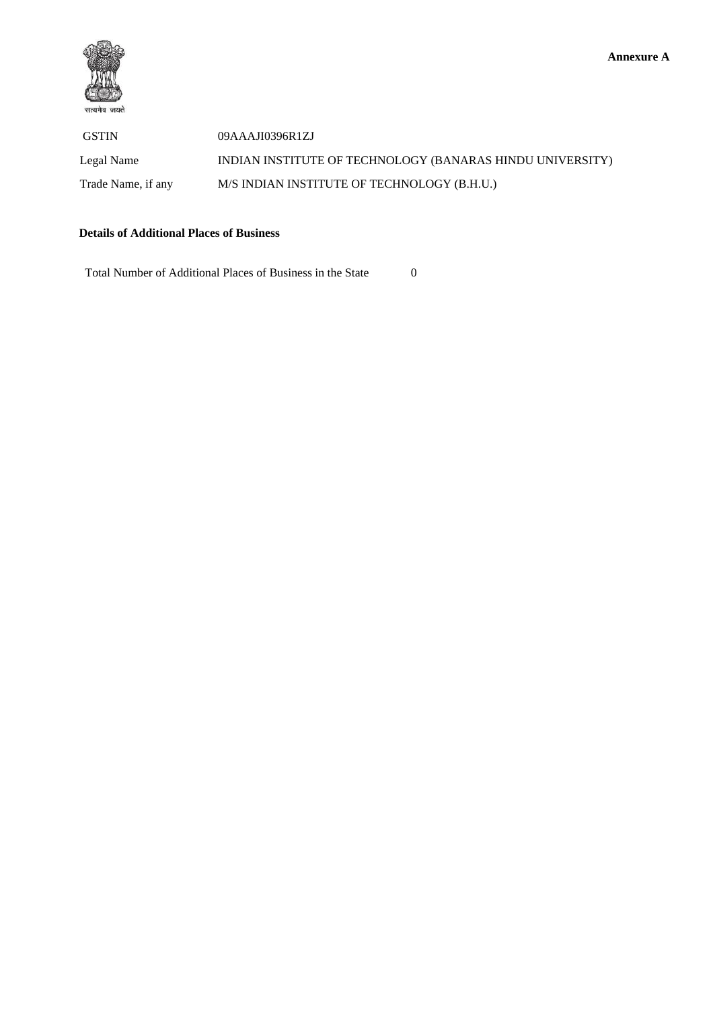

 GSTIN 09AAAJI0396R1ZJ Legal Name INDIAN INSTITUTE OF TECHNOLOGY (BANARAS HINDU UNIVERSITY) Trade Name, if any M/S INDIAN INSTITUTE OF TECHNOLOGY (B.H.U.)

## **Details of Additional Places of Business**

Total Number of Additional Places of Business in the State 0